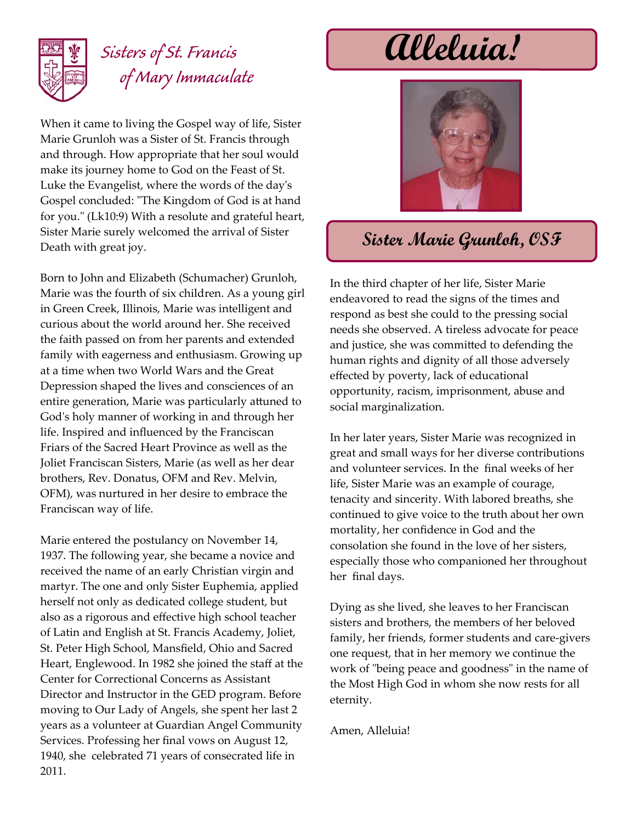

## *Sisters of St. Francis* **Alleluia!** *of Mary Immaculate*

When it came to living the Gospel way of life, Sister Marie Grunloh was a Sister of St. Francis through and through. How appropriate that her soul would make its journey home to God on the Feast of St. Luke the Evangelist, where the words of the dayʹs Gospel concluded: "The Kingdom of God is at hand for you." (Lk10:9) With a resolute and grateful heart, Sister Marie surely welcomed the arrival of Sister Death with great joy.

Born to John and Elizabeth (Schumacher) Grunloh, Marie was the fourth of six children. As a young girl in Green Creek, Illinois, Marie was intelligent and curious about the world around her. She received the faith passed on from her parents and extended family with eagerness and enthusiasm. Growing up at a time when two World Wars and the Great Depression shaped the lives and consciences of an entire generation, Marie was particularly attuned to God's holy manner of working in and through her life. Inspired and influenced by the Franciscan Friars of the Sacred Heart Province as well as the Joliet Franciscan Sisters, Marie (as well as her dear brothers, Rev. Donatus, OFM and Rev. Melvin, OFM), was nurtured in her desire to embrace the Franciscan way of life.

Marie entered the postulancy on November 14, 1937. The following year, she became a novice and received the name of an early Christian virgin and martyr. The one and only Sister Euphemia, applied herself not only as dedicated college student, but also as a rigorous and effective high school teacher of Latin and English at St. Francis Academy, Joliet, St. Peter High School, Mansfield, Ohio and Sacred Heart, Englewood. In 1982 she joined the staff at the Center for Correctional Concerns as Assistant Director and Instructor in the GED program. Before moving to Our Lady of Angels, she spent her last 2 years as a volunteer at Guardian Angel Community Services. Professing her final vows on August 12, 1940, she celebrated 71 years of consecrated life in 2011.



## **Sister Marie Grunloh, OSF**

In the third chapter of her life, Sister Marie endeavored to read the signs of the times and respond as best she could to the pressing social needs she observed. A tireless advocate for peace and justice, she was committed to defending the human rights and dignity of all those adversely effected by poverty, lack of educational opportunity, racism, imprisonment, abuse and social marginalization.

In her later years, Sister Marie was recognized in great and small ways for her diverse contributions and volunteer services. In the final weeks of her life, Sister Marie was an example of courage, tenacity and sincerity. With labored breaths, she continued to give voice to the truth about her own mortality, her confidence in God and the consolation she found in the love of her sisters, especially those who companioned her throughout her final days.

Dying as she lived, she leaves to her Franciscan sisters and brothers, the members of her beloved family, her friends, former students and care‐givers one request, that in her memory we continue the work of "being peace and goodness" in the name of the Most High God in whom she now rests for all eternity.

Amen, Alleluia!